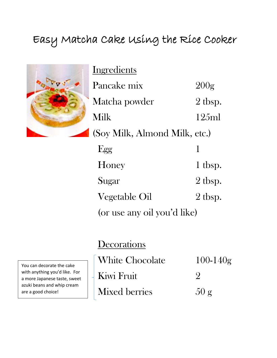## Easy Matcha Cake Using the Rice Cooker



**Ingredients** Pancake mix 200g Matcha powder 2 tbsp. Milk 125ml (Soy Milk, Almond Milk, etc.)  $Egg$  1 Honey 1 tbsp. Sugar 2 tbsp. Vegetable Oil 2 tbsp.

(or use any oil you'd like)

## **Decorations**

White Chocolate 100-140g Kiwi Fruit 2 Mixed berries  $50 g$ 

You can decorate the cake with anything you'd like. For a more Japanese taste, sweet azuki beans and whip cream are a good choice!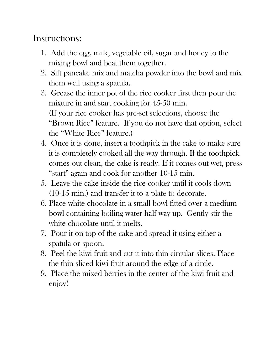## Instructions:

- 1. Add the egg, milk, vegetable oil, sugar and honey to the mixing bowl and beat them together.
- 2. Sift pancake mix and matcha powder into the bowl and mix them well using a spatula.
- 3. Grease the inner pot of the rice cooker first then pour the mixture in and start cooking for 45-50 min. (If your rice cooker has pre-set selections, choose the "Brown Rice" feature. If you do not have that option, select the "White Rice" feature.)
- 4. Once it is done, insert a toothpick in the cake to make sure it is completely cooked all the way through. If the toothpick comes out clean, the cake is ready. If it comes out wet, press "start" again and cook for another 10-15 min.
- 5. Leave the cake inside the rice cooker until it cools down (10-15 min.) and transfer it to a plate to decorate.
- 6. Place white chocolate in a small bowl fitted over a medium bowl containing boiling water half way up. Gently stir the white chocolate until it melts.
- 7. Pour it on top of the cake and spread it using either a spatula or spoon.
- 8. Peel the kiwi fruit and cut it into thin circular slices. Place the thin sliced kiwi fruit around the edge of a circle.
- 9. Place the mixed berries in the center of the kiwi fruit and enjoy!